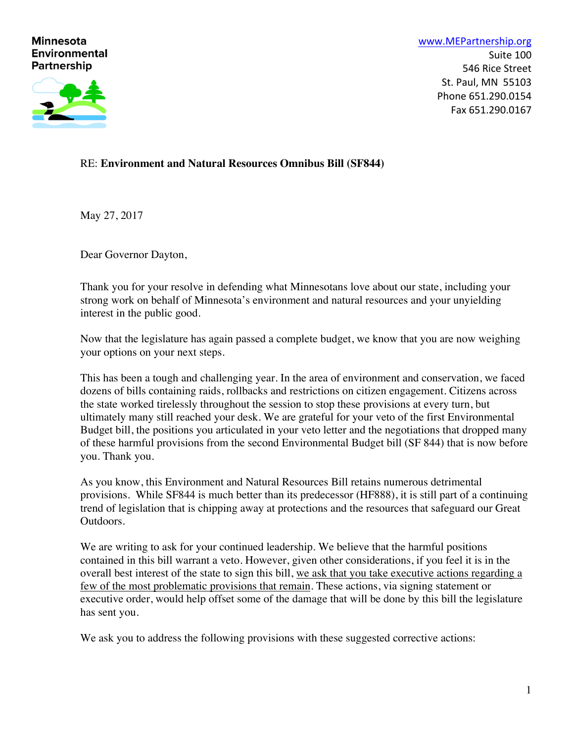# **Minnesota Environmental Partnership**



www.MEPartnership.org Suite 100 546 Rice Street St. Paul, MN 55103 Phone 651.290.0154 Fax 651.290.0167

# RE: **Environment and Natural Resources Omnibus Bill (SF844)**

May 27, 2017

Dear Governor Dayton,

Thank you for your resolve in defending what Minnesotans love about our state, including your strong work on behalf of Minnesota's environment and natural resources and your unyielding interest in the public good.

Now that the legislature has again passed a complete budget, we know that you are now weighing your options on your next steps.

This has been a tough and challenging year. In the area of environment and conservation, we faced dozens of bills containing raids, rollbacks and restrictions on citizen engagement. Citizens across the state worked tirelessly throughout the session to stop these provisions at every turn, but ultimately many still reached your desk. We are grateful for your veto of the first Environmental Budget bill, the positions you articulated in your veto letter and the negotiations that dropped many of these harmful provisions from the second Environmental Budget bill (SF 844) that is now before you. Thank you.

As you know, this Environment and Natural Resources Bill retains numerous detrimental provisions. While SF844 is much better than its predecessor (HF888), it is still part of a continuing trend of legislation that is chipping away at protections and the resources that safeguard our Great Outdoors.

We are writing to ask for your continued leadership. We believe that the harmful positions contained in this bill warrant a veto. However, given other considerations, if you feel it is in the overall best interest of the state to sign this bill, we ask that you take executive actions regarding a few of the most problematic provisions that remain. These actions, via signing statement or executive order, would help offset some of the damage that will be done by this bill the legislature has sent you.

We ask you to address the following provisions with these suggested corrective actions: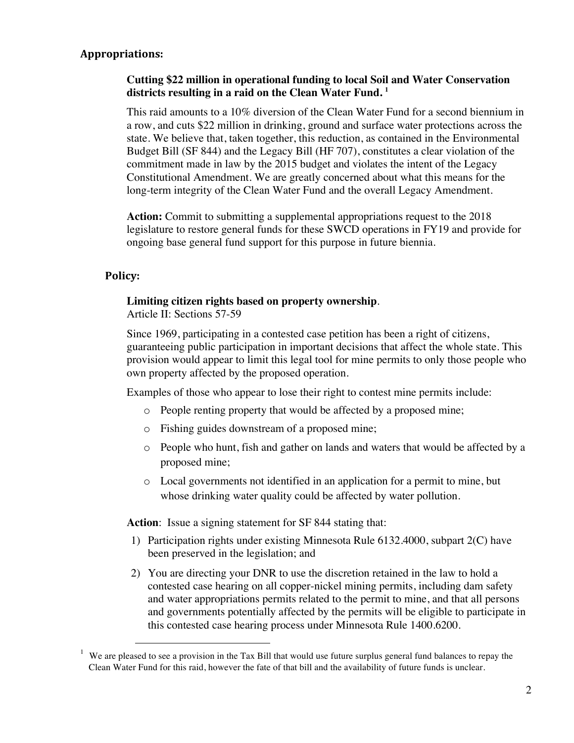# **Appropriations:**

# **Cutting \$22 million in operational funding to local Soil and Water Conservation districts resulting in a raid on the Clean Water Fund. 1**

This raid amounts to a 10% diversion of the Clean Water Fund for a second biennium in a row, and cuts \$22 million in drinking, ground and surface water protections across the state. We believe that, taken together, this reduction, as contained in the Environmental Budget Bill (SF 844) and the Legacy Bill (HF 707), constitutes a clear violation of the commitment made in law by the 2015 budget and violates the intent of the Legacy Constitutional Amendment. We are greatly concerned about what this means for the long-term integrity of the Clean Water Fund and the overall Legacy Amendment.

**Action:** Commit to submitting a supplemental appropriations request to the 2018 legislature to restore general funds for these SWCD operations in FY19 and provide for ongoing base general fund support for this purpose in future biennia.

### **Policy:**

#### **Limiting citizen rights based on property ownership**.

Article II: Sections 57-59

Since 1969, participating in a contested case petition has been a right of citizens, guaranteeing public participation in important decisions that affect the whole state. This provision would appear to limit this legal tool for mine permits to only those people who own property affected by the proposed operation.

Examples of those who appear to lose their right to contest mine permits include:

- o People renting property that would be affected by a proposed mine;
- o Fishing guides downstream of a proposed mine;
- o People who hunt, fish and gather on lands and waters that would be affected by a proposed mine;
- o Local governments not identified in an application for a permit to mine, but whose drinking water quality could be affected by water pollution.

**Action**: Issue a signing statement for SF 844 stating that:

- 1) Participation rights under existing Minnesota Rule 6132.4000, subpart 2(C) have been preserved in the legislation; and
- 2) You are directing your DNR to use the discretion retained in the law to hold a contested case hearing on all copper-nickel mining permits, including dam safety and water appropriations permits related to the permit to mine, and that all persons and governments potentially affected by the permits will be eligible to participate in this contested case hearing process under Minnesota Rule 1400.6200.

<sup>&</sup>lt;sup>1</sup> We are pleased to see a provision in the Tax Bill that would use future surplus general fund balances to repay the Clean Water Fund for this raid, however the fate of that bill and the availability of future funds is unclear.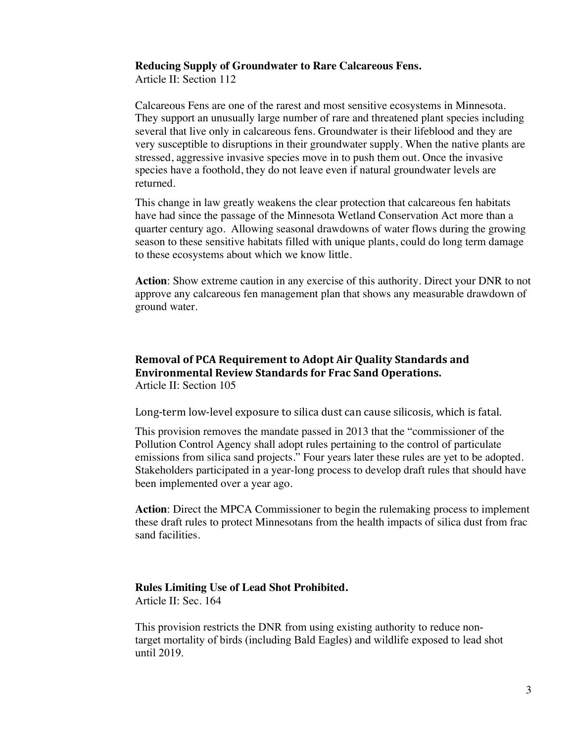#### **Reducing Supply of Groundwater to Rare Calcareous Fens.**

Article II: Section 112

Calcareous Fens are one of the rarest and most sensitive ecosystems in Minnesota. They support an unusually large number of rare and threatened plant species including several that live only in calcareous fens. Groundwater is their lifeblood and they are very susceptible to disruptions in their groundwater supply. When the native plants are stressed, aggressive invasive species move in to push them out. Once the invasive species have a foothold, they do not leave even if natural groundwater levels are returned.

This change in law greatly weakens the clear protection that calcareous fen habitats have had since the passage of the Minnesota Wetland Conservation Act more than a quarter century ago. Allowing seasonal drawdowns of water flows during the growing season to these sensitive habitats filled with unique plants, could do long term damage to these ecosystems about which we know little.

**Action**: Show extreme caution in any exercise of this authority. Direct your DNR to not approve any calcareous fen management plan that shows any measurable drawdown of ground water.

# **Removal of PCA Requirement to Adopt Air Quality Standards and Environmental Review Standards for Frac Sand Operations.** Article II: Section 105

Long-term low-level exposure to silica dust can cause silicosis, which is fatal.

This provision removes the mandate passed in 2013 that the "commissioner of the Pollution Control Agency shall adopt rules pertaining to the control of particulate emissions from silica sand projects." Four years later these rules are yet to be adopted. Stakeholders participated in a year-long process to develop draft rules that should have been implemented over a year ago.

**Action**: Direct the MPCA Commissioner to begin the rulemaking process to implement these draft rules to protect Minnesotans from the health impacts of silica dust from frac sand facilities.

# **Rules Limiting Use of Lead Shot Prohibited.**

Article II: Sec. 164

This provision restricts the DNR from using existing authority to reduce nontarget mortality of birds (including Bald Eagles) and wildlife exposed to lead shot until 2019.